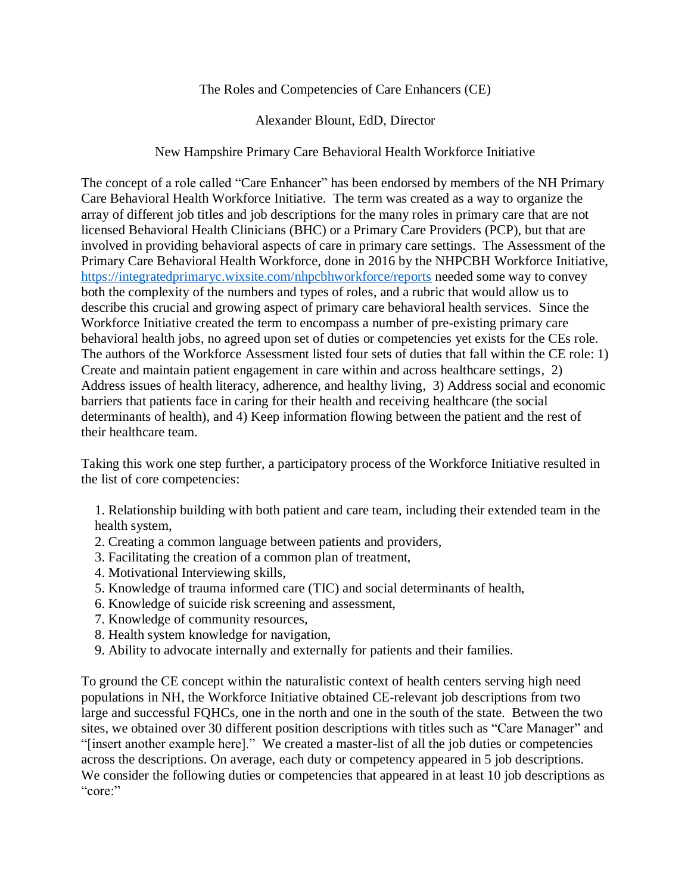## The Roles and Competencies of Care Enhancers (CE)

## Alexander Blount, EdD, Director

## New Hampshire Primary Care Behavioral Health Workforce Initiative

The concept of a role called "Care Enhancer" has been endorsed by members of the NH Primary Care Behavioral Health Workforce Initiative. The term was created as a way to organize the array of different job titles and job descriptions for the many roles in primary care that are not licensed Behavioral Health Clinicians (BHC) or a Primary Care Providers (PCP), but that are involved in providing behavioral aspects of care in primary care settings. The Assessment of the Primary Care Behavioral Health Workforce, done in 2016 by the NHPCBH Workforce Initiative, <https://integratedprimaryc.wixsite.com/nhpcbhworkforce/reports> needed some way to convey both the complexity of the numbers and types of roles, and a rubric that would allow us to describe this crucial and growing aspect of primary care behavioral health services. Since the Workforce Initiative created the term to encompass a number of pre-existing primary care behavioral health jobs, no agreed upon set of duties or competencies yet exists for the CEs role. The authors of the Workforce Assessment listed four sets of duties that fall within the CE role: 1) Create and maintain patient engagement in care within and across healthcare settings, 2) Address issues of health literacy, adherence, and healthy living, 3) Address social and economic barriers that patients face in caring for their health and receiving healthcare (the social determinants of health), and 4) Keep information flowing between the patient and the rest of their healthcare team.

Taking this work one step further, a participatory process of the Workforce Initiative resulted in the list of core competencies:

- 1. Relationship building with both patient and care team, including their extended team in the health system,
- 2. Creating a common language between patients and providers,
- 3. Facilitating the creation of a common plan of treatment,
- 4. Motivational Interviewing skills,
- 5. Knowledge of trauma informed care (TIC) and social determinants of health,
- 6. Knowledge of suicide risk screening and assessment,
- 7. Knowledge of community resources,
- 8. Health system knowledge for navigation,
- 9. Ability to advocate internally and externally for patients and their families.

To ground the CE concept within the naturalistic context of health centers serving high need populations in NH, the Workforce Initiative obtained CE-relevant job descriptions from two large and successful FQHCs, one in the north and one in the south of the state. Between the two sites, we obtained over 30 different position descriptions with titles such as "Care Manager" and "[insert another example here]." We created a master-list of all the job duties or competencies across the descriptions. On average, each duty or competency appeared in 5 job descriptions. We consider the following duties or competencies that appeared in at least 10 job descriptions as "core:"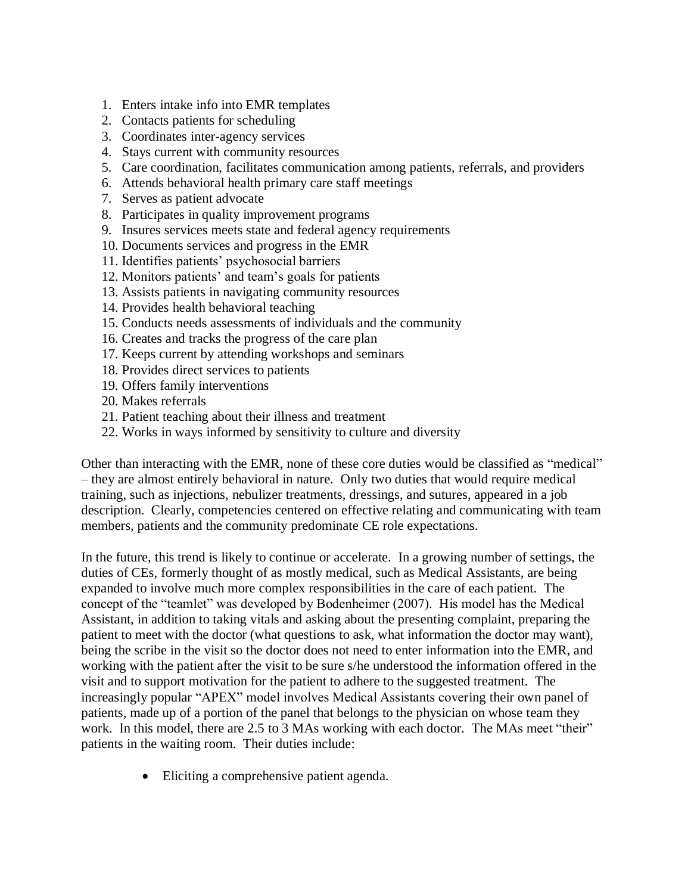- 1. Enters intake info into EMR templates
- 2. Contacts patients for scheduling
- 3. Coordinates inter-agency services
- 4. Stays current with community resources
- 5. Care coordination, facilitates communication among patients, referrals, and providers
- 6. Attends behavioral health primary care staff meetings
- 7. Serves as patient advocate
- 8. Participates in quality improvement programs
- 9. Insures services meets state and federal agency requirements
- 10. Documents services and progress in the EMR
- 11. Identifies patients' psychosocial barriers
- 12. Monitors patients' and team's goals for patients
- 13. Assists patients in navigating community resources
- 14. Provides health behavioral teaching
- 15. Conducts needs assessments of individuals and the community
- 16. Creates and tracks the progress of the care plan
- 17. Keeps current by attending workshops and seminars
- 18. Provides direct services to patients
- 19. Offers family interventions
- 20. Makes referrals
- 21. Patient teaching about their illness and treatment
- 22. Works in ways informed by sensitivity to culture and diversity

Other than interacting with the EMR, none of these core duties would be classified as "medical" – they are almost entirely behavioral in nature. Only two duties that would require medical training, such as injections, nebulizer treatments, dressings, and sutures, appeared in a job description. Clearly, competencies centered on effective relating and communicating with team members, patients and the community predominate CE role expectations.

In the future, this trend is likely to continue or accelerate. In a growing number of settings, the duties of CEs, formerly thought of as mostly medical, such as Medical Assistants, are being expanded to involve much more complex responsibilities in the care of each patient. The concept of the "teamlet" was developed by Bodenheimer (2007). His model has the Medical Assistant, in addition to taking vitals and asking about the presenting complaint, preparing the patient to meet with the doctor (what questions to ask, what information the doctor may want), being the scribe in the visit so the doctor does not need to enter information into the EMR, and working with the patient after the visit to be sure s/he understood the information offered in the visit and to support motivation for the patient to adhere to the suggested treatment. The increasingly popular "APEX" model involves Medical Assistants covering their own panel of patients, made up of a portion of the panel that belongs to the physician on whose team they work. In this model, there are 2.5 to 3 MAs working with each doctor. The MAs meet "their" patients in the waiting room. Their duties include:

• Eliciting a comprehensive patient agenda.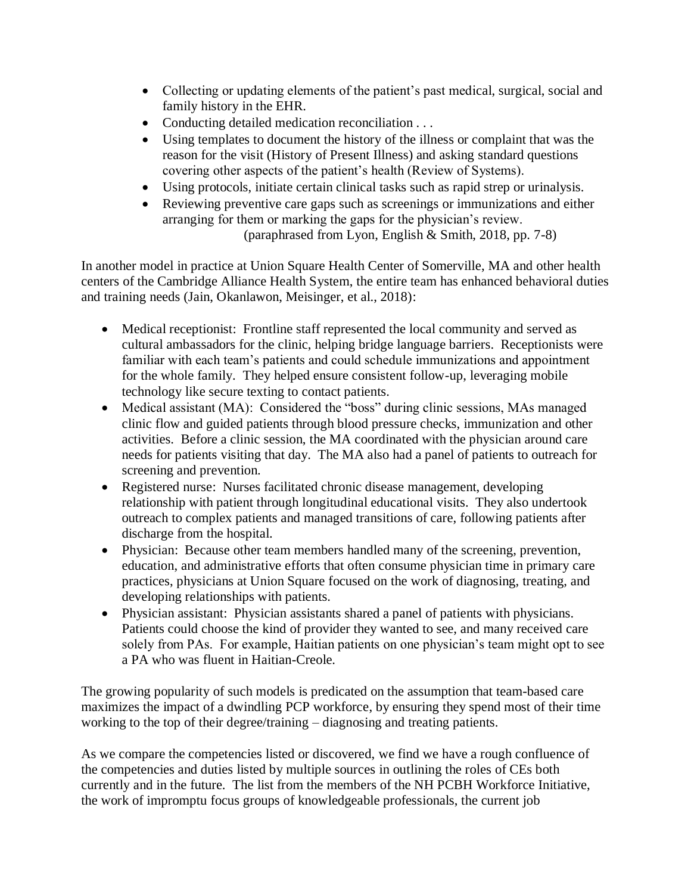- Collecting or updating elements of the patient's past medical, surgical, social and family history in the EHR.
- Conducting detailed medication reconciliation . . .
- Using templates to document the history of the illness or complaint that was the reason for the visit (History of Present Illness) and asking standard questions covering other aspects of the patient's health (Review of Systems).
- Using protocols, initiate certain clinical tasks such as rapid strep or urinalysis.
- Reviewing preventive care gaps such as screenings or immunizations and either arranging for them or marking the gaps for the physician's review. (paraphrased from Lyon, English & Smith, 2018, pp. 7-8)

In another model in practice at Union Square Health Center of Somerville, MA and other health centers of the Cambridge Alliance Health System, the entire team has enhanced behavioral duties and training needs (Jain, Okanlawon, Meisinger, et al., 2018):

- Medical receptionist: Frontline staff represented the local community and served as cultural ambassadors for the clinic, helping bridge language barriers. Receptionists were familiar with each team's patients and could schedule immunizations and appointment for the whole family. They helped ensure consistent follow-up, leveraging mobile technology like secure texting to contact patients.
- Medical assistant (MA): Considered the "boss" during clinic sessions, MAs managed clinic flow and guided patients through blood pressure checks, immunization and other activities. Before a clinic session, the MA coordinated with the physician around care needs for patients visiting that day. The MA also had a panel of patients to outreach for screening and prevention.
- Registered nurse: Nurses facilitated chronic disease management, developing relationship with patient through longitudinal educational visits. They also undertook outreach to complex patients and managed transitions of care, following patients after discharge from the hospital.
- Physician: Because other team members handled many of the screening, prevention, education, and administrative efforts that often consume physician time in primary care practices, physicians at Union Square focused on the work of diagnosing, treating, and developing relationships with patients.
- Physician assistant: Physician assistants shared a panel of patients with physicians. Patients could choose the kind of provider they wanted to see, and many received care solely from PAs. For example, Haitian patients on one physician's team might opt to see a PA who was fluent in Haitian-Creole.

The growing popularity of such models is predicated on the assumption that team-based care maximizes the impact of a dwindling PCP workforce, by ensuring they spend most of their time working to the top of their degree/training – diagnosing and treating patients.

As we compare the competencies listed or discovered, we find we have a rough confluence of the competencies and duties listed by multiple sources in outlining the roles of CEs both currently and in the future. The list from the members of the NH PCBH Workforce Initiative, the work of impromptu focus groups of knowledgeable professionals, the current job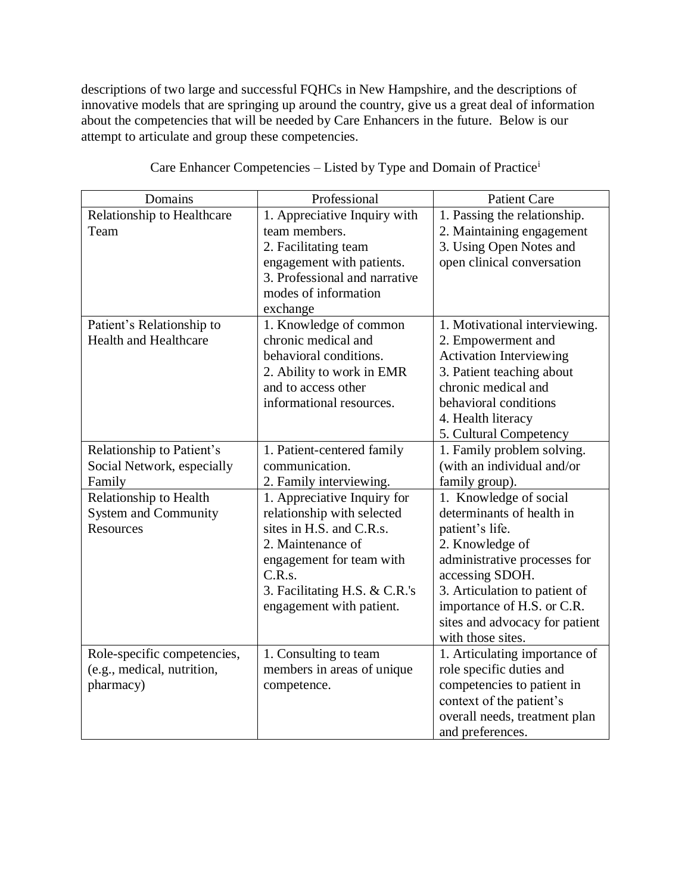descriptions of two large and successful FQHCs in New Hampshire, and the descriptions of innovative models that are springing up around the country, give us a great deal of information about the competencies that will be needed by Care Enhancers in the future. Below is our attempt to articulate and group these competencies.

| Domains                      | Professional                  | <b>Patient Care</b>            |
|------------------------------|-------------------------------|--------------------------------|
| Relationship to Healthcare   | 1. Appreciative Inquiry with  | 1. Passing the relationship.   |
| Team                         | team members.                 | 2. Maintaining engagement      |
|                              | 2. Facilitating team          | 3. Using Open Notes and        |
|                              | engagement with patients.     | open clinical conversation     |
|                              | 3. Professional and narrative |                                |
|                              | modes of information          |                                |
|                              | exchange                      |                                |
| Patient's Relationship to    | 1. Knowledge of common        | 1. Motivational interviewing.  |
| <b>Health and Healthcare</b> | chronic medical and           | 2. Empowerment and             |
|                              | behavioral conditions.        | <b>Activation Interviewing</b> |
|                              | 2. Ability to work in EMR     | 3. Patient teaching about      |
|                              | and to access other           | chronic medical and            |
|                              | informational resources.      | behavioral conditions          |
|                              |                               | 4. Health literacy             |
|                              |                               | 5. Cultural Competency         |
| Relationship to Patient's    | 1. Patient-centered family    | 1. Family problem solving.     |
| Social Network, especially   | communication.                | (with an individual and/or     |
| Family                       | 2. Family interviewing.       | family group).                 |
| Relationship to Health       | 1. Appreciative Inquiry for   | 1. Knowledge of social         |
| <b>System and Community</b>  | relationship with selected    | determinants of health in      |
| <b>Resources</b>             | sites in H.S. and C.R.s.      | patient's life.                |
|                              | 2. Maintenance of             | 2. Knowledge of                |
|                              | engagement for team with      | administrative processes for   |
|                              | C.R.s.                        | accessing SDOH.                |
|                              | 3. Facilitating H.S. & C.R.'s | 3. Articulation to patient of  |
|                              | engagement with patient.      | importance of H.S. or C.R.     |
|                              |                               | sites and advocacy for patient |
|                              |                               | with those sites.              |
| Role-specific competencies,  | 1. Consulting to team         | 1. Articulating importance of  |
| (e.g., medical, nutrition,   | members in areas of unique    | role specific duties and       |
| pharmacy)                    | competence.                   | competencies to patient in     |
|                              |                               | context of the patient's       |
|                              |                               | overall needs, treatment plan  |
|                              |                               | and preferences.               |

Care Enhancer Competencies – Listed by Type and Domain of Practice<sup>i</sup>